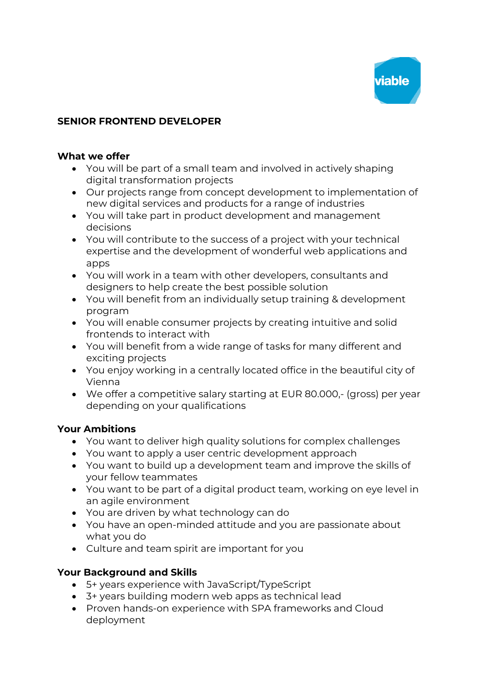

## **SENIOR FRONTEND DEVELOPER**

#### **What we offer**

- You will be part of a small team and involved in actively shaping digital transformation projects
- Our projects range from concept development to implementation of new digital services and products for a range of industries
- You will take part in product development and management decisions
- You will contribute to the success of a project with your technical expertise and the development of wonderful web applications and apps
- You will work in a team with other developers, consultants and designers to help create the best possible solution
- You will benefit from an individually setup training & development program
- You will enable consumer projects by creating intuitive and solid frontends to interact with
- You will benefit from a wide range of tasks for many different and exciting projects
- You enjoy working in a centrally located office in the beautiful city of Vienna
- We offer a competitive salary starting at EUR 80.000,- (gross) per year depending on your qualifications

### **Your Ambitions**

- You want to deliver high quality solutions for complex challenges
- You want to apply a user centric development approach
- You want to build up a development team and improve the skills of your fellow teammates
- You want to be part of a digital product team, working on eye level in an agile environment
- You are driven by what technology can do
- You have an open-minded attitude and you are passionate about what you do
- Culture and team spirit are important for you

### **Your Background and Skills**

- 5+ years experience with JavaScript/TypeScript
- 3+ years building modern web apps as technical lead
- Proven hands-on experience with SPA frameworks and Cloud deployment